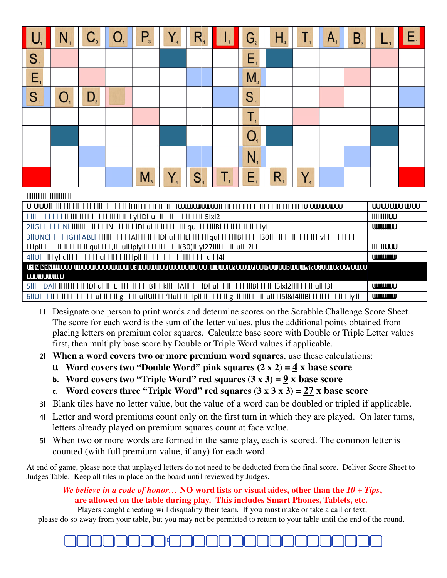|                | $N_{1}$        |                | $C_{3}$ $O_{1}$ | $P_{\rm a}$    | $\mathsf{Y}_\mathsf{4}$ | $R_{1}$        | Ш  | G <sub>2</sub> | H <sub>4</sub> | $T_{\rm t}$ | $A_{1}$ | B <sub>3</sub> | Е, |
|----------------|----------------|----------------|-----------------|----------------|-------------------------|----------------|----|----------------|----------------|-------------|---------|----------------|----|
| $S_{1}$        |                |                |                 |                |                         |                |    | E,             |                |             |         |                |    |
| $E_{i}$        |                |                |                 |                |                         |                |    | M <sub>3</sub> |                |             |         |                |    |
| S <sub>1</sub> | O <sub>1</sub> | D <sub>2</sub> |                 |                |                         |                |    | S <sub>1</sub> |                |             |         |                |    |
|                |                |                |                 |                |                         |                |    | T,             |                |             |         |                |    |
|                |                |                |                 |                |                         |                |    | O <sub>1</sub> |                |             |         |                |    |
|                |                |                |                 |                |                         |                |    | $N_{1}$        |                |             |         |                |    |
|                |                |                |                 | M <sub>3</sub> | Y,                      | S <sub>1</sub> | Τ, | E,             | $R_{1}$        | $Y_{4}$     |         |                |    |

#### |||||||||||||||||||||||||||||

|                                                                                                                                            | <b>WWWWWW</b>                      |  |  |  |  |  |
|--------------------------------------------------------------------------------------------------------------------------------------------|------------------------------------|--|--|--|--|--|
|                                                                                                                                            | IIIIIIIII                          |  |  |  |  |  |
|                                                                                                                                            | <b>UMMMMU</b>                      |  |  |  |  |  |
| 31IUNCI   I I IGHI ABLI IIIIIII   I I I IAII II II I IDI ul II ILI III III qui II IIIBI I I III I30IIII II I I II II II I VI IIII II I I I |                                    |  |  |  |  |  |
|                                                                                                                                            | <b>IIIIIIIUUU</b>                  |  |  |  |  |  |
|                                                                                                                                            | <b><i><u>COMMUNICOTION</u></i></b> |  |  |  |  |  |
| <b>WINDOO WOODWOODOWWW DEWOODWOGLOODDUD OO.WINDIGAOODWOODBOUDDWOGOUWGCUSOWDO.O</b><br>W                                                    |                                    |  |  |  |  |  |
|                                                                                                                                            |                                    |  |  |  |  |  |
|                                                                                                                                            | <b>UUUUUUUU</b> UU                 |  |  |  |  |  |
|                                                                                                                                            | <b><i>UMMANION</i></b>             |  |  |  |  |  |

- Designate one person to print words and determine scores on the Scrabble Challenge Score Sheet. The score for each word is the sum of the letter values, plus the additional points obtained from placing letters on premium color squares. Calculate base score with Double or Triple Letter values first, then multiply base score by Double or Triple Word values if applicable.
- When a word covers two or more premium word squares, use these calculations:
	- u Word covers two "Double Word" pink squares  $(2 \times 2) = 4 \times$  base score
	- b. Word covers two "Triple Word" red squares  $(3 \times 3) = 9 \times$  base score
	- c. Word covers three "Triple Word" red squares  $(3 \times 3 \times 3) = 27 \times$  base score
- Blank tiles have no letter value, but the value of a word can be doubled or tripled if applicable.
- Letter and word premiums count only on the first turn in which they are played. On later turns, letters already played on premium squares count at face value.
- When two or more words are formed in the same play, each is scored. The common letter is counted (with full premium value, if any) for each word.

At end of game, please note that unplayed letters do not need to be deducted from the final score. Deliver Score Sheet to Judges Table. Keep all tiles in place on the board until reviewed by Judges.

## We believe in a code of honor... NO word lists or visual aides, other than the  $10 + Tips$ , are allowed on the table during play. This includes Smart Phones, Tablets, etc.

Players caught cheating will disqualify their team. If you must make or take a call or text, please do so away from your table, but you may not be permitted to return to your table until the end of the round.